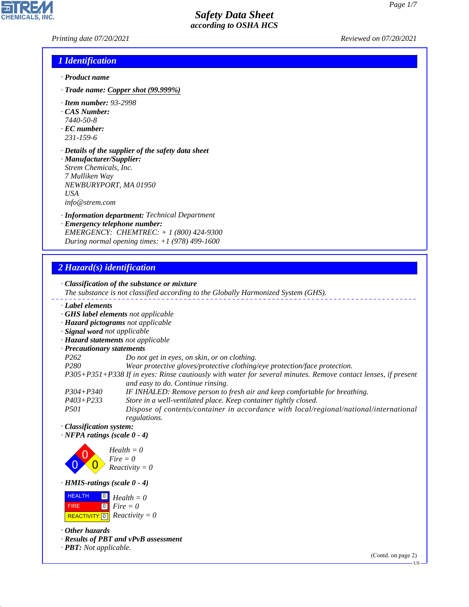*Printing date 07/20/2021 Reviewed on 07/20/2021*

### *1 Identification*

- *· Product name*
- *· Trade name: Copper shot (99.999%)*
- *· Item number: 93-2998*
- *· CAS Number:*
- *7440-50-8*
- *· EC number: 231-159-6*
- *· Details of the supplier of the safety data sheet · Manufacturer/Supplier: Strem Chemicals, Inc. 7 Mulliken Way*
- *NEWBURYPORT, MA 01950 USA info@strem.com*
- *· Information department: Technical Department*
- *· Emergency telephone number: EMERGENCY: CHEMTREC: + 1 (800) 424-9300 During normal opening times: +1 (978) 499-1600*

## *2 Hazard(s) identification*

*· Classification of the substance or mixture The substance is not classified according to the Globally Harmonized System (GHS). · Label elements · GHS label elements not applicable · Hazard pictograms not applicable · Signal word not applicable · Hazard statements not applicable · Precautionary statements P262 Do not get in eyes, on skin, or on clothing. P280 Wear protective gloves/protective clothing/eye protection/face protection. P305+P351+P338 If in eyes: Rinse cautiously with water for several minutes. Remove contact lenses, if present and easy to do. Continue rinsing. P304+P340 IF INHALED: Remove person to fresh air and keep comfortable for breathing. P403+P233 Store in a well-ventilated place. Keep container tightly closed. P501 Dispose of contents/container in accordance with local/regional/national/international*

*regulations. · Classification system:*

*· NFPA ratings (scale 0 - 4)*



*· HMIS-ratings (scale 0 - 4)*

 HEALTH FIRE  $\boxed{\text{REACTIVITY} \boxed{0}}$  Reactivity = 0 0 *Health = 0* 0 *Fire = 0*

*· Other hazards*

44.1.1

*· Results of PBT and vPvB assessment*

*· PBT: Not applicable.*

(Contd. on page 2)

US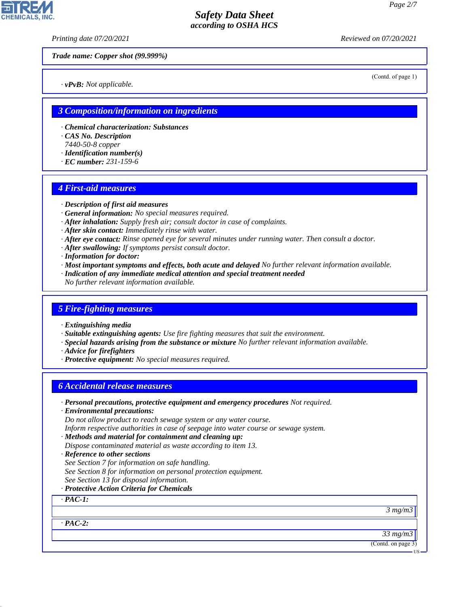*Printing date 07/20/2021 Reviewed on 07/20/2021*

*Trade name: Copper shot (99.999%)*

*· vPvB: Not applicable.*

(Contd. of page 1)

### *3 Composition/information on ingredients*

- *· Chemical characterization: Substances*
- *· CAS No. Description*
- *7440-50-8 copper*
- *· Identification number(s)*
- *· EC number: 231-159-6*

#### *4 First-aid measures*

- *· Description of first aid measures*
- *· General information: No special measures required.*
- *· After inhalation: Supply fresh air; consult doctor in case of complaints.*
- *· After skin contact: Immediately rinse with water.*
- *· After eye contact: Rinse opened eye for several minutes under running water. Then consult a doctor.*
- *· After swallowing: If symptoms persist consult doctor.*
- *· Information for doctor:*
- *· Most important symptoms and effects, both acute and delayed No further relevant information available.*
- *· Indication of any immediate medical attention and special treatment needed*
- *No further relevant information available.*

#### *5 Fire-fighting measures*

- *· Extinguishing media*
- *· Suitable extinguishing agents: Use fire fighting measures that suit the environment.*
- *· Special hazards arising from the substance or mixture No further relevant information available.*
- *· Advice for firefighters*
- *· Protective equipment: No special measures required.*

### *6 Accidental release measures*

- *· Personal precautions, protective equipment and emergency procedures Not required.*
- *· Environmental precautions:*

*Do not allow product to reach sewage system or any water course.*

- *Inform respective authorities in case of seepage into water course or sewage system.*
- *· Methods and material for containment and cleaning up:*

*Dispose contaminated material as waste according to item 13.*

- *· Reference to other sections*
- *See Section 7 for information on safe handling.*
- *See Section 8 for information on personal protection equipment.*
- *See Section 13 for disposal information.*
- *· Protective Action Criteria for Chemicals*

### *· PAC-1:*

*· PAC-2:*

44.1.1

*3 mg/m3*

*33 mg/m3*

(Contd. on page 3)

**HS** 

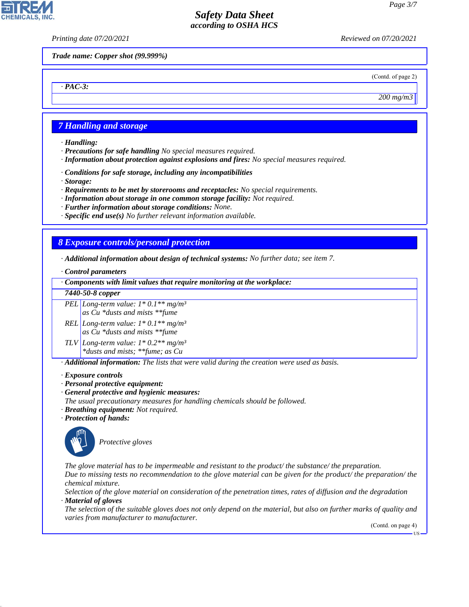*Printing date 07/20/2021 Reviewed on 07/20/2021*

*Trade name: Copper shot (99.999%)*

(Contd. of page 2)

*200 mg/m3*

## *7 Handling and storage*

*· Handling:*

*· PAC-3:*

**CHEMICALS.** 

- *· Precautions for safe handling No special measures required.*
- *· Information about protection against explosions and fires: No special measures required.*
- *· Conditions for safe storage, including any incompatibilities*
- *· Storage:*
- *· Requirements to be met by storerooms and receptacles: No special requirements.*
- *· Information about storage in one common storage facility: Not required.*
- *· Further information about storage conditions: None.*
- *· Specific end use(s) No further relevant information available.*

## *8 Exposure controls/personal protection*

*· Additional information about design of technical systems: No further data; see item 7.*

#### *· Control parameters*

*· Components with limit values that require monitoring at the workplace:*

#### *7440-50-8 copper*

*PEL Long-term value: 1\* 0.1\*\* mg/m³ as Cu \*dusts and mists \*\*fume*

- *REL Long-term value: 1\* 0.1\*\* mg/m³ as Cu \*dusts and mists \*\*fume*
- *TLV Long-term value: 1\* 0.2\*\* mg/m³ \*dusts and mists; \*\*fume; as Cu*

*· Additional information: The lists that were valid during the creation were used as basis.*

#### *· Exposure controls*

- *· Personal protective equipment:*
- *· General protective and hygienic measures:*
- *The usual precautionary measures for handling chemicals should be followed.*
- *· Breathing equipment: Not required.*
- *· Protection of hands:*



44.1.1

\_S*Protective gloves*

*The glove material has to be impermeable and resistant to the product/ the substance/ the preparation. Due to missing tests no recommendation to the glove material can be given for the product/ the preparation/ the chemical mixture.*

*Selection of the glove material on consideration of the penetration times, rates of diffusion and the degradation · Material of gloves*

*The selection of the suitable gloves does not only depend on the material, but also on further marks of quality and varies from manufacturer to manufacturer.*

(Contd. on page 4)

US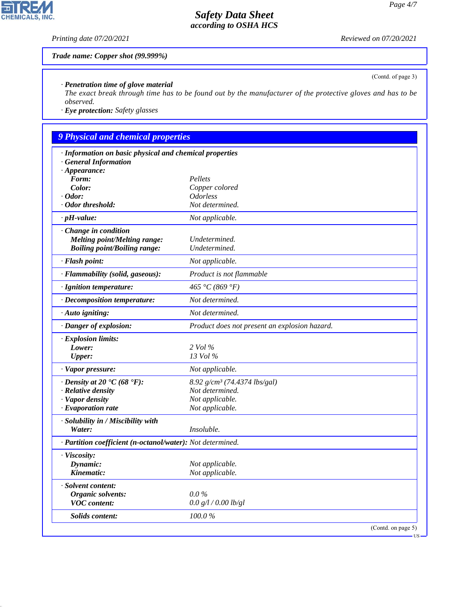*Printing date 07/20/2021 Reviewed on 07/20/2021*

*Trade name: Copper shot (99.999%)*

### *· Penetration time of glove material*

*The exact break through time has to be found out by the manufacturer of the protective gloves and has to be observed.*

*· Eye protection: Safety glasses*

# *9 Physical and chemical properties*

| · Information on basic physical and chemical properties<br><b>General Information</b> |                                                                            |  |
|---------------------------------------------------------------------------------------|----------------------------------------------------------------------------|--|
| $\cdot$ Appearance:                                                                   |                                                                            |  |
| Form:                                                                                 | Pellets                                                                    |  |
| Color:                                                                                | Copper colored                                                             |  |
| $\cdot$ Odor:                                                                         | <i><u><b>Odorless</b></u></i>                                              |  |
| · Odor threshold:                                                                     | Not determined.                                                            |  |
| $\cdot$ pH-value:                                                                     | Not applicable.                                                            |  |
| $\cdot$ Change in condition                                                           |                                                                            |  |
| <b>Melting point/Melting range:</b>                                                   | Undetermined.                                                              |  |
| <b>Boiling point/Boiling range:</b>                                                   | Undetermined.                                                              |  |
| · Flash point:                                                                        | Not applicable.                                                            |  |
| · Flammability (solid, gaseous):                                                      | Product is not flammable                                                   |  |
| · Ignition temperature:                                                               | 465 °C (869 °F)                                                            |  |
| · Decomposition temperature:                                                          | Not determined.                                                            |  |
| · Auto igniting:                                                                      | Not determined.                                                            |  |
| · Danger of explosion:                                                                | Product does not present an explosion hazard.                              |  |
| · Explosion limits:                                                                   |                                                                            |  |
| Lower:                                                                                | 2 Vol %                                                                    |  |
| <b>Upper:</b>                                                                         | 13 Vol %                                                                   |  |
| · Vapor pressure:                                                                     | Not applicable.                                                            |  |
| $\cdot$ Density at 20 $\cdot$ C (68 $\cdot$ F):                                       | 8.92 g/cm <sup>3</sup> (74.4374 lbs/gal)                                   |  |
| · Relative density                                                                    | Not determined.                                                            |  |
| · Vapor density                                                                       | Not applicable.                                                            |  |
| · Evaporation rate                                                                    | Not applicable.                                                            |  |
| · Solubility in / Miscibility with                                                    |                                                                            |  |
| Water:                                                                                | Insoluble.                                                                 |  |
| · Partition coefficient (n-octanol/water): Not determined.                            |                                                                            |  |
| · Viscosity:                                                                          |                                                                            |  |
| Dynamic:                                                                              | Not applicable.                                                            |  |
| Kinematic:                                                                            | Not applicable.                                                            |  |
| · Solvent content:                                                                    |                                                                            |  |
| Organic solvents:                                                                     | $0.0\%$                                                                    |  |
| <b>VOC</b> content:                                                                   | 0.0 g/l / 0.00 lb/gl                                                       |  |
| <b>Solids content:</b>                                                                | 100.0%                                                                     |  |
|                                                                                       | (Contd. on page 5)<br>$\overline{\phantom{a}}$ US $\overline{\phantom{a}}$ |  |

(Contd. of page 3)



44.1.1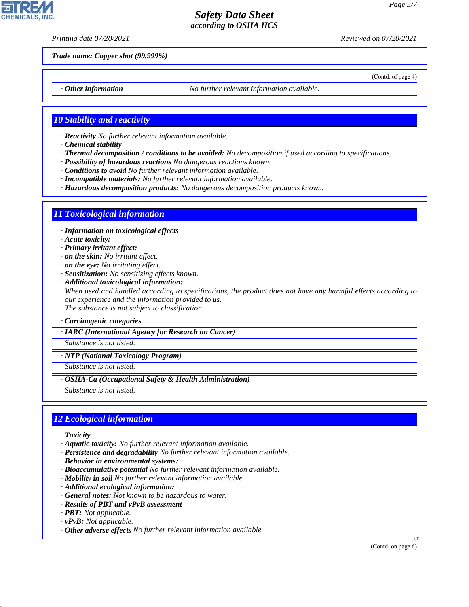(Contd. of page 4)

## *Safety Data Sheet according to OSHA HCS*

*Printing date 07/20/2021 Reviewed on 07/20/2021*

*Trade name: Copper shot (99.999%)*

*· Other information No further relevant information available.*

### *10 Stability and reactivity*

- *· Reactivity No further relevant information available.*
- *· Chemical stability*
- *· Thermal decomposition / conditions to be avoided: No decomposition if used according to specifications.*
- *· Possibility of hazardous reactions No dangerous reactions known.*
- *· Conditions to avoid No further relevant information available.*
- *· Incompatible materials: No further relevant information available.*
- *· Hazardous decomposition products: No dangerous decomposition products known.*

#### *11 Toxicological information*

- *· Information on toxicological effects*
- *· Acute toxicity:*
- *· Primary irritant effect:*
- *· on the skin: No irritant effect.*
- *· on the eye: No irritating effect.*
- *· Sensitization: No sensitizing effects known.*
- *· Additional toxicological information: When used and handled according to specifications, the product does not have any harmful effects according to our experience and the information provided to us. The substance is not subject to classification.*
- *· Carcinogenic categories*
- *· IARC (International Agency for Research on Cancer)*

*Substance is not listed.*

*· NTP (National Toxicology Program)*

*Substance is not listed.*

*· OSHA-Ca (Occupational Safety & Health Administration)*

*Substance is not listed.*

#### *12 Ecological information*

*· Toxicity*

44.1.1

- *· Aquatic toxicity: No further relevant information available.*
- *· Persistence and degradability No further relevant information available.*
- *· Behavior in environmental systems:*
- *· Bioaccumulative potential No further relevant information available.*
- *· Mobility in soil No further relevant information available.*
- *· Additional ecological information:*
- *· General notes: Not known to be hazardous to water.*
- *· Results of PBT and vPvB assessment*
- *· PBT: Not applicable.*
- *· vPvB: Not applicable.*
- *· Other adverse effects No further relevant information available.*

(Contd. on page 6)

US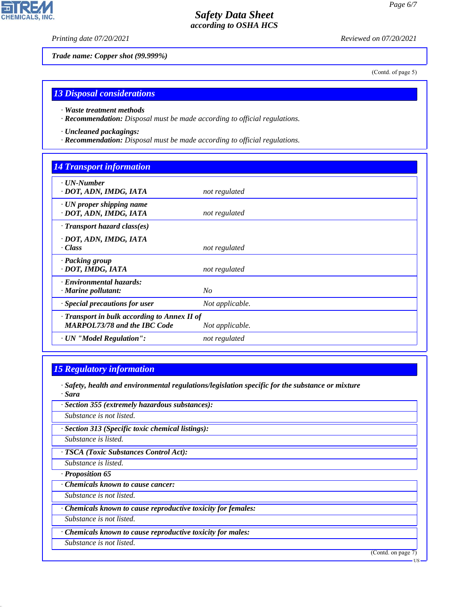þ

**CHEMICALS, INC.** 

*Printing date 07/20/2021 Reviewed on 07/20/2021*

*Trade name: Copper shot (99.999%)*

(Contd. of page 5)

### *13 Disposal considerations*

*· Waste treatment methods*

*· Recommendation: Disposal must be made according to official regulations.*

*· Uncleaned packagings:*

*· Recommendation: Disposal must be made according to official regulations.*

## *14 Transport information*

| $\cdot$ UN-Number<br>· DOT, ADN, IMDG, IATA                                                            | not regulated   |
|--------------------------------------------------------------------------------------------------------|-----------------|
| $\cdot$ UN proper shipping name<br>· DOT, ADN, IMDG, IATA                                              | not regulated   |
| $\cdot$ Transport hazard class(es)                                                                     |                 |
| · DOT, ADN, IMDG, IATA<br>· Class                                                                      | not regulated   |
| · Packing group<br>· DOT, IMDG, IATA                                                                   | not regulated   |
| · Environmental hazards:<br>$\cdot$ Marine pollutant:                                                  | N <sub>O</sub>  |
| · Special precautions for user                                                                         | Not applicable. |
| · Transport in bulk according to Annex II of<br><b>MARPOL73/78 and the IBC Code</b><br>Not applicable. |                 |
| · UN "Model Regulation":                                                                               | not regulated   |

## *15 Regulatory information*

- *· Safety, health and environmental regulations/legislation specific for the substance or mixture · Sara*
- *· Section 355 (extremely hazardous substances):*

*Substance is not listed.*

*· Section 313 (Specific toxic chemical listings):*

*Substance is listed.*

*· TSCA (Toxic Substances Control Act):*

*Substance is listed.*

*· Proposition 65*

*· Chemicals known to cause cancer:*

*Substance is not listed.*

*· Chemicals known to cause reproductive toxicity for females:*

*Substance is not listed.*

*· Chemicals known to cause reproductive toxicity for males:*

*Substance is not listed.*

44.1.1

(Contd. on page 7)

US